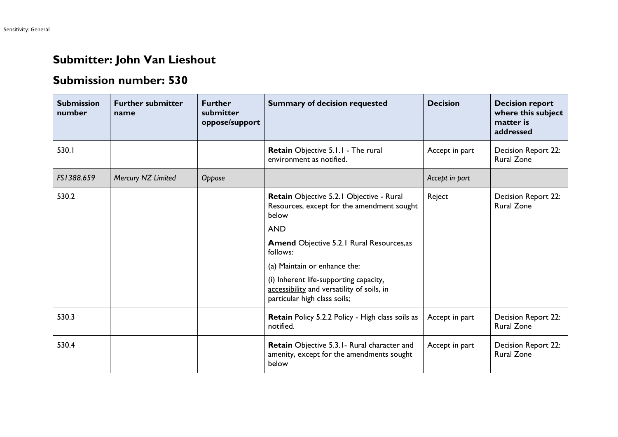## **Submitter: John Van Lieshout**

## **Submission number: 530**

| <b>Submission</b><br>number | <b>Further submitter</b><br>name | <b>Further</b><br>submitter<br>oppose/support | <b>Summary of decision requested</b>                                                                                 | <b>Decision</b> | <b>Decision report</b><br>where this subject<br>matter is<br>addressed |
|-----------------------------|----------------------------------|-----------------------------------------------|----------------------------------------------------------------------------------------------------------------------|-----------------|------------------------------------------------------------------------|
| 530.1                       |                                  |                                               | Retain Objective 5.1.1 - The rural<br>environment as notified.                                                       | Accept in part  | Decision Report 22:<br><b>Rural Zone</b>                               |
| FS1388.659                  | Mercury NZ Limited               | Oppose                                        |                                                                                                                      | Accept in part  |                                                                        |
| 530.2                       |                                  |                                               | Retain Objective 5.2.1 Objective - Rural<br>Resources, except for the amendment sought<br>below                      | Reject          | Decision Report 22:<br><b>Rural Zone</b>                               |
|                             |                                  |                                               | <b>AND</b>                                                                                                           |                 |                                                                        |
|                             |                                  |                                               | <b>Amend Objective 5.2.1 Rural Resources, as</b><br>follows:                                                         |                 |                                                                        |
|                             |                                  |                                               | (a) Maintain or enhance the:                                                                                         |                 |                                                                        |
|                             |                                  |                                               | (i) Inherent life-supporting capacity,<br>accessibility and versatility of soils, in<br>particular high class soils; |                 |                                                                        |
| 530.3                       |                                  |                                               | Retain Policy 5.2.2 Policy - High class soils as<br>notified.                                                        | Accept in part  | Decision Report 22:<br><b>Rural Zone</b>                               |
| 530.4                       |                                  |                                               | Retain Objective 5.3.1 - Rural character and<br>amenity, except for the amendments sought<br>below                   | Accept in part  | Decision Report 22:<br><b>Rural Zone</b>                               |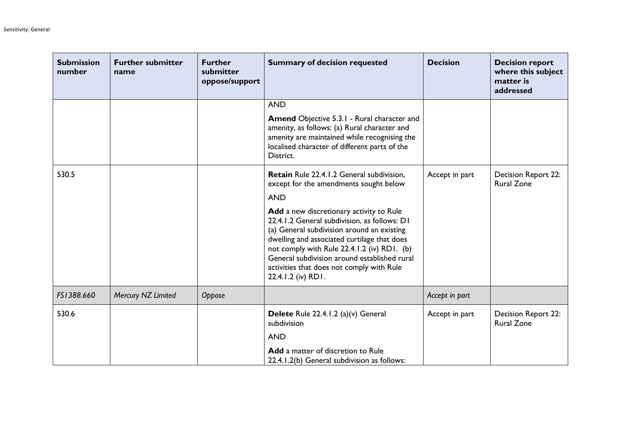| <b>Submission</b><br>number | <b>Further submitter</b><br>name | <b>Further</b><br>submitter<br>oppose/support | <b>Summary of decision requested</b>                                                                                                                                                                                                                                                                                                                    | <b>Decision</b> | <b>Decision report</b><br>where this subject<br>matter is<br>addressed |
|-----------------------------|----------------------------------|-----------------------------------------------|---------------------------------------------------------------------------------------------------------------------------------------------------------------------------------------------------------------------------------------------------------------------------------------------------------------------------------------------------------|-----------------|------------------------------------------------------------------------|
|                             |                                  |                                               | <b>AND</b>                                                                                                                                                                                                                                                                                                                                              |                 |                                                                        |
|                             |                                  |                                               | <b>Amend Objective 5.3.1 - Rural character and</b><br>amenity, as follows: (a) Rural character and<br>amenity are maintained while recognising the<br>localised character of different parts of the<br>District.                                                                                                                                        |                 |                                                                        |
| 530.5                       |                                  |                                               | <b>Retain</b> Rule 22.4.1.2 General subdivision,<br>except for the amendments sought below                                                                                                                                                                                                                                                              | Accept in part  | Decision Report 22:<br><b>Rural Zone</b>                               |
|                             |                                  |                                               | <b>AND</b>                                                                                                                                                                                                                                                                                                                                              |                 |                                                                        |
|                             |                                  |                                               | Add a new discretionary activity to Rule<br>22.4.1.2 General subdivision, as follows: D1<br>(a) General subdivision around an existing<br>dwelling and associated curtilage that does<br>not comply with Rule 22.4.1.2 (iv) RD1. (b)<br>General subdivision around established rural<br>activities that does not comply with Rule<br>22.4.1.2 (iv) RD1. |                 |                                                                        |
| FS1388.660                  | Mercury NZ Limited               | Oppose                                        |                                                                                                                                                                                                                                                                                                                                                         | Accept in part  |                                                                        |
| 530.6                       |                                  |                                               | Delete Rule 22.4.1.2 (a)(v) General<br>subdivision                                                                                                                                                                                                                                                                                                      | Accept in part  | <b>Decision Report 22:</b><br><b>Rural Zone</b>                        |
|                             |                                  |                                               | <b>AND</b>                                                                                                                                                                                                                                                                                                                                              |                 |                                                                        |
|                             |                                  |                                               | Add a matter of discretion to Rule<br>22.4.1.2(b) General subdivision as follows:                                                                                                                                                                                                                                                                       |                 |                                                                        |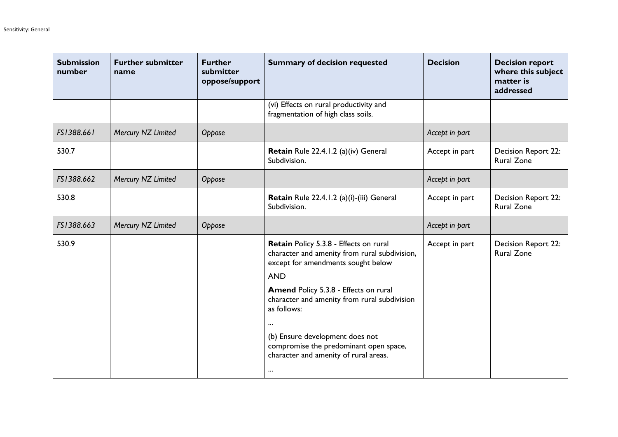| <b>Submission</b><br>number | <b>Further submitter</b><br>name | <b>Further</b><br>submitter<br>oppose/support | <b>Summary of decision requested</b>                                                                                                        | <b>Decision</b> | <b>Decision report</b><br>where this subject<br>matter is<br>addressed |
|-----------------------------|----------------------------------|-----------------------------------------------|---------------------------------------------------------------------------------------------------------------------------------------------|-----------------|------------------------------------------------------------------------|
|                             |                                  |                                               | (vi) Effects on rural productivity and<br>fragmentation of high class soils.                                                                |                 |                                                                        |
| FS1388.661                  | Mercury NZ Limited               | Oppose                                        |                                                                                                                                             | Accept in part  |                                                                        |
| 530.7                       |                                  |                                               | Retain Rule 22.4.1.2 (a)(iv) General<br>Subdivision.                                                                                        | Accept in part  | Decision Report 22:<br><b>Rural Zone</b>                               |
| FS1388.662                  | Mercury NZ Limited               | Oppose                                        |                                                                                                                                             | Accept in part  |                                                                        |
| 530.8                       |                                  |                                               | Retain Rule 22.4.1.2 (a)(i)-(iii) General<br>Subdivision.                                                                                   | Accept in part  | Decision Report 22:<br><b>Rural Zone</b>                               |
| FS1388.663                  | Mercury NZ Limited               | Oppose                                        |                                                                                                                                             | Accept in part  |                                                                        |
| 530.9                       |                                  |                                               | Retain Policy 5.3.8 - Effects on rural<br>character and amenity from rural subdivision,<br>except for amendments sought below<br><b>AND</b> | Accept in part  | Decision Report 22:<br><b>Rural Zone</b>                               |
|                             |                                  |                                               | Amend Policy 5.3.8 - Effects on rural<br>character and amenity from rural subdivision<br>as follows:                                        |                 |                                                                        |
|                             |                                  |                                               | $\cdots$<br>(b) Ensure development does not<br>compromise the predominant open space,<br>character and amenity of rural areas.<br>$\cdots$  |                 |                                                                        |